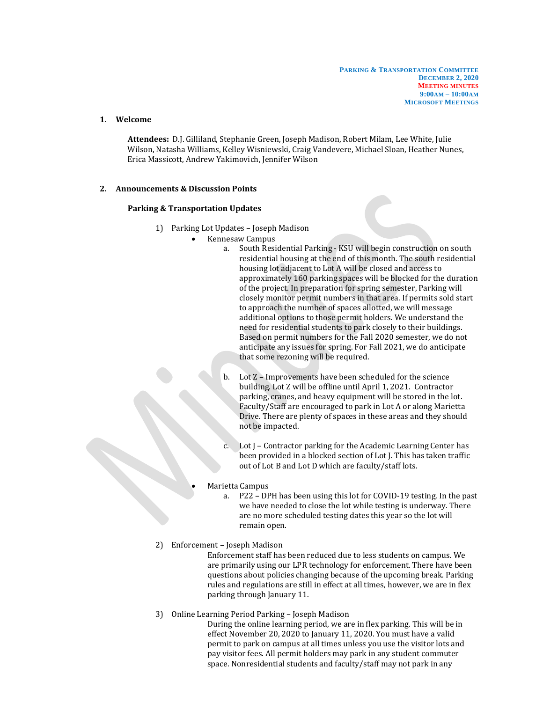## **1. Welcome**

**Attendees:** D.J. Gilliland, Stephanie Green, Joseph Madison, Robert Milam, Lee White, Julie Wilson, Natasha Williams, Kelley Wisniewski, Craig Vandevere, Michael Sloan, Heather Nunes, Erica Massicott, Andrew Yakimovich, Jennifer Wilson

## **2. Announcements & Discussion Points**

### **Parking & Transportation Updates**

- 1) Parking Lot Updates Joseph Madison
	- Kennesaw Campus
		- a. South Residential Parking KSU will begin construction on south residential housing at the end of this month. The south residential housing lot adjacent to Lot A will be closed and access to approximately 160 parking spaces will be blocked for the duration of the project. In preparation for spring semester, Parking will closely monitor permit numbers in that area. If permits sold start to approach the number of spaces allotted, we will message additional options to those permit holders. We understand the need for residential students to park closely to their buildings. Based on permit numbers for the Fall 2020 semester, we do not anticipate any issues for spring. For Fall 2021, we do anticipate that some rezoning will be required.
		- Lot Z Improvements have been scheduled for the science building. Lot Z will be offline until April 1, 2021. Contractor parking, cranes, and heavy equipment will be stored in the lot. Faculty/Staff are encouraged to park in Lot A or along Marietta Drive. There are plenty of spaces in these areas and they should not be impacted.
		- Lot J Contractor parking for the Academic Learning Center has been provided in a blocked section of Lot J. This has taken traffic out of Lot B and Lot D which are faculty/staff lots.

#### • Marietta Campus

a. P22 – DPH has been using this lot for COVID-19 testing. In the past we have needed to close the lot while testing is underway. There are no more scheduled testing dates this year so the lot will remain open.

## 2) Enforcement – Joseph Madison

Enforcement staff has been reduced due to less students on campus. We are primarily using our LPR technology for enforcement. There have been questions about policies changing because of the upcoming break. Parking rules and regulations are still in effect at all times, however, we are in flex parking through January 11.

- 3) Online Learning Period Parking Joseph Madison
	- During the online learning period, we are in flex parking. This will be in effect November 20, 2020 to January 11, 2020. You must have a valid permit to park on campus at all times unless you use the visitor lots and pay visitor fees. All permit holders may park in any student commuter space. Nonresidential students and faculty/staff may not park in any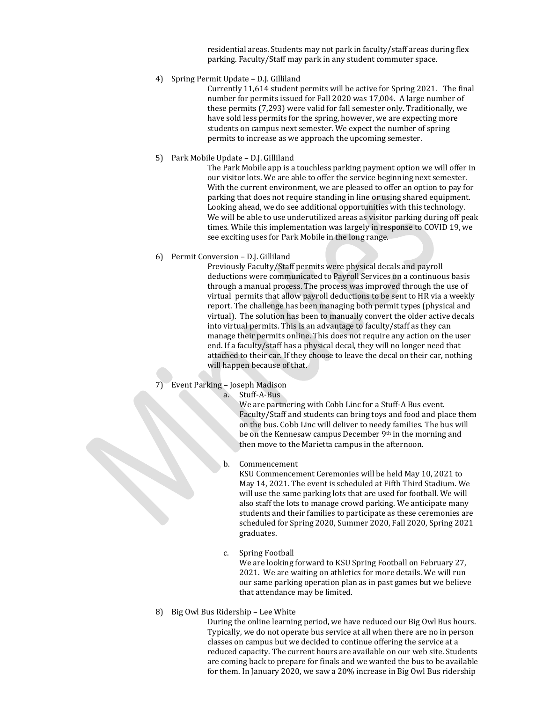residential areas. Students may not park in faculty/staff areas during flex parking. Faculty/Staff may park in any student commuter space.

4) Spring Permit Update – D.J. Gilliland

Currently 11,614 student permits will be active for Spring 2021. The final number for permits issued for Fall 2020 was 17,004. A large number of these permits (7,293) were valid for fall semester only. Traditionally, we have sold less permits for the spring, however, we are expecting more students on campus next semester. We expect the number of spring permits to increase as we approach the upcoming semester.

5) Park Mobile Update – D.J. Gilliland

The Park Mobile app is a touchless parking payment option we will offer in our visitor lots. We are able to offer the service beginning next semester. With the current environment, we are pleased to offer an option to pay for parking that does not require standing in line or using shared equipment. Looking ahead, we do see additional opportunities with this technology. We will be able to use underutilized areas as visitor parking during off peak times. While this implementation was largely in response to COVID 19, we see exciting uses for Park Mobile in the long range.

6) Permit Conversion – D.J. Gilliland

Previously Faculty/Staff permits were physical decals and payroll deductions were communicated to Payroll Services on a continuous basis through a manual process. The process was improved through the use of virtual permits that allow payroll deductions to be sent to HR via a weekly report. The challenge has been managing both permit types (physical and virtual). The solution has been to manually convert the older active decals into virtual permits. This is an advantage to faculty/staff as they can manage their permits online. This does not require any action on the user end. If a faculty/staff has a physical decal, they will no longer need that attached to their car. If they choose to leave the decal on their car, nothing will happen because of that.

- 7) Event Parking Joseph Madison
	- a. Stuff-A-Bus

We are partnering with Cobb Linc for a Stuff-A Bus event. Faculty/Staff and students can bring toys and food and place them on the bus. Cobb Linc will deliver to needy families. The bus will be on the Kennesaw campus December 9<sup>th</sup> in the morning and then move to the Marietta campus in the afternoon.

b. Commencement

KSU Commencement Ceremonies will be held May 10, 2021 to May 14, 2021. The event is scheduled at Fifth Third Stadium. We will use the same parking lots that are used for football. We will also staff the lots to manage crowd parking. We anticipate many students and their families to participate as these ceremonies are scheduled for Spring 2020, Summer 2020, Fall 2020, Spring 2021 graduates.

c. Spring Football

We are looking forward to KSU Spring Football on February 27, 2021. We are waiting on athletics for more details. We will run our same parking operation plan as in past games but we believe that attendance may be limited.

8) Big Owl Bus Ridership – Lee White

During the online learning period, we have reduced our Big Owl Bus hours. Typically, we do not operate bus service at all when there are no in person classes on campus but we decided to continue offering the service at a reduced capacity. The current hours are available on our web site. Students are coming back to prepare for finals and we wanted the bus to be available for them. In January 2020, we saw a 20% increase in Big Owl Bus ridership